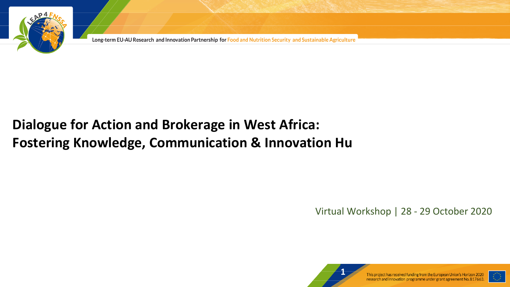

# **Dialogue for Action and Brokerage in West Africa: Fostering Knowledge, Communication & Innovation Hu**

Virtual Workshop | 28 - 29 October 2020



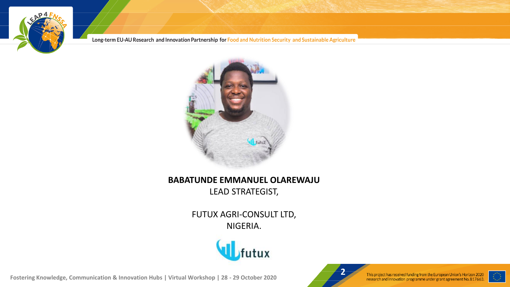



#### **BABATUNDE EMMANUEL OLAREWAJU** LEAD STRATEGIST,

FUTUX AGRI-CONSULT LTD, NIGERIA.





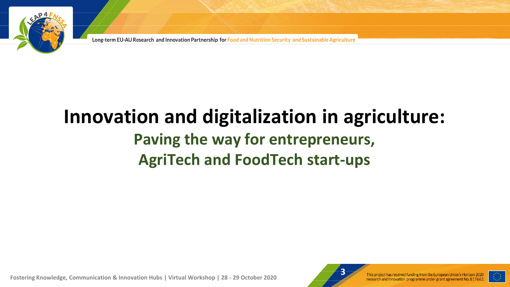

# **Innovation and digitalization in agriculture: Paving the way for entrepreneurs, AgriTech and FoodTech start-ups**



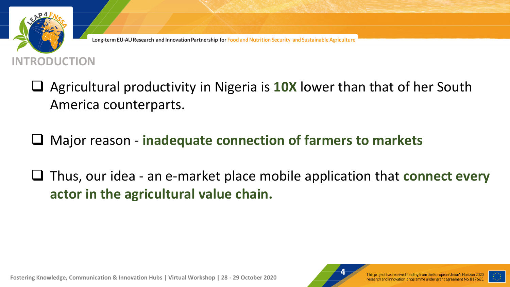

- ❑ Agricultural productivity in Nigeria is **10X** lower than that of her South America counterparts.
- ❑ Major reason **inadequate connection of farmers to markets**
- ❑ Thus, our idea an e-market place mobile application that **connect every actor in the agricultural value chain.**



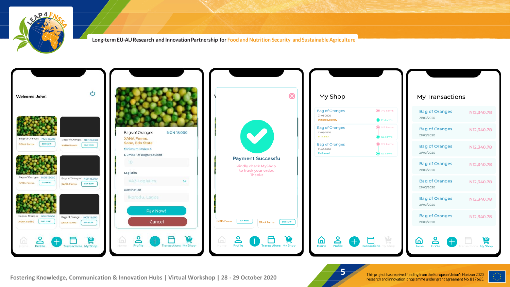



**Fostering Knowledge, Communication & Innovation Hubs | Virtual Workshop | 28 - 29 October 2020**<br>Fostering Knowledge, Communication & Innovation Hubs | Virtual Workshop | 28 - 29 October 2020

**5**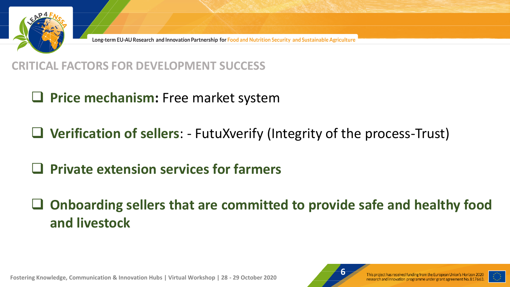

#### **CRITICAL FACTORS FOR DEVELOPMENT SUCCESS**

# ❑ **Price mechanism:** Free market system

❑ **Verification of sellers**: - FutuXverify (Integrity of the process-Trust)

# ❑ **Private extension services for farmers**

# ❑ **Onboarding sellers that are committed to provide safe and healthy food and livestock**



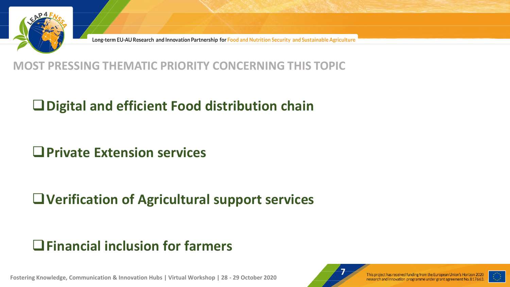

#### **MOST PRESSING THEMATIC PRIORITY CONCERNING THIS TOPIC**

### ❑**Digital and efficient Food distribution chain**

### ❑**Private Extension services**

# ❑**Verification of Agricultural support services**

### ❑**Financial inclusion for farmers**



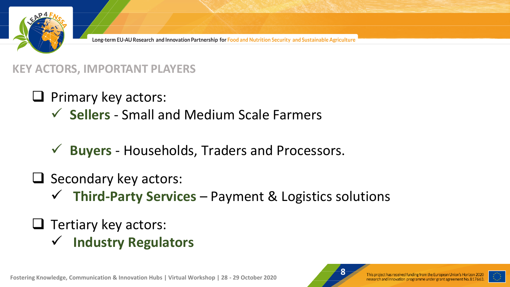

#### **KEY ACTORS, IMPORTANT PLAYERS**

❑ Primary key actors:

- ✓ **Sellers** Small and Medium Scale Farmers
- ✓ **Buyers** Households, Traders and Processors.
- ❑ Secondary key actors:
	- ✓ **Third-Party Services**  Payment & Logistics solutions
- ❑ Tertiary key actors:
	- ✓ **Industry Regulators**